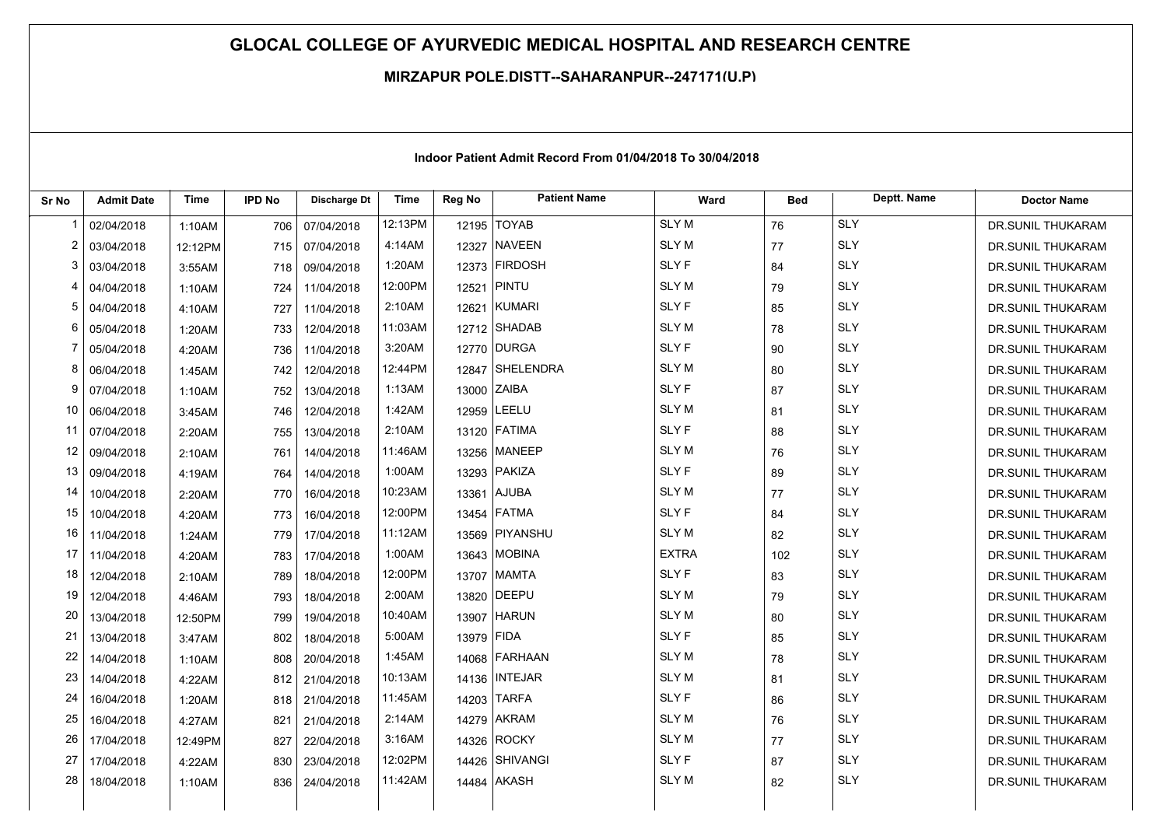## **GLOCAL COLLEGE OF AYURVEDIC MEDICAL HOSPITAL AND RESEARCH CENTRE**

## **MIRZAPUR POLE,DISTT--SAHARANPUR--247171(U.P)**

| Sr No          | <b>Admit Date</b> | <b>Time</b> | <b>IPD No</b> | <b>Discharge Dt</b> | Time    | Reg No     | <b>Patient Name</b> | Ward         | <b>Bed</b> | Deptt. Name | <b>Doctor Name</b> |
|----------------|-------------------|-------------|---------------|---------------------|---------|------------|---------------------|--------------|------------|-------------|--------------------|
| -1             | 02/04/2018        | 1:10AM      | 706           | 07/04/2018          | 12:13PM |            | 12195 TOYAB         | <b>SLYM</b>  | 76         | <b>SLY</b>  | DR.SUNIL THUKARAM  |
| $\overline{2}$ | 03/04/2018        | 12:12PM     | 715           | 07/04/2018          | 4:14AM  | 12327      | <b>NAVEEN</b>       | <b>SLYM</b>  | 77         | <b>SLY</b>  | DR.SUNIL THUKARAM  |
| 3              | 03/04/2018        | 3:55AM      | 718           | 09/04/2018          | 1:20AM  |            | 12373 FIRDOSH       | <b>SLYF</b>  | 84         | <b>SLY</b>  | DR.SUNIL THUKARAM  |
| 4              | 04/04/2018        | 1:10AM      | 724           | 11/04/2018          | 12:00PM |            | 12521 PINTU         | <b>SLYM</b>  | 79         | <b>SLY</b>  | DR.SUNIL THUKARAM  |
| 5              | 04/04/2018        | 4:10AM      | 727           | 11/04/2018          | 2:10AM  |            | 12621 KUMARI        | <b>SLYF</b>  | 85         | <b>SLY</b>  | DR.SUNIL THUKARAM  |
| 6              | 05/04/2018        | 1:20AM      | 733           | 12/04/2018          | 11:03AM |            | 12712 SHADAB        | <b>SLYM</b>  | 78         | <b>SLY</b>  | DR.SUNIL THUKARAM  |
| 7              | 05/04/2018        | 4:20AM      | 736           | 11/04/2018          | 3:20AM  |            | 12770 DURGA         | <b>SLYF</b>  | 90         | <b>SLY</b>  | DR.SUNIL THUKARAM  |
| 8              | 06/04/2018        | 1:45AM      | 742           | 12/04/2018          | 12:44PM |            | 12847 SHELENDRA     | SLY M        | 80         | <b>SLY</b>  | DR.SUNIL THUKARAM  |
| 9              | 07/04/2018        | 1:10AM      | 752           | 13/04/2018          | 1:13AM  |            | 13000 ZAIBA         | <b>SLYF</b>  | 87         | <b>SLY</b>  | DR.SUNIL THUKARAM  |
| 10             | 06/04/2018        | 3:45AM      | 746           | 12/04/2018          | 1:42AM  |            | 12959 LEELU         | <b>SLYM</b>  | 81         | <b>SLY</b>  | DR.SUNIL THUKARAM  |
| 11             | 07/04/2018        | 2:20AM      | 755           | 13/04/2018          | 2:10AM  |            | 13120 FATIMA        | <b>SLYF</b>  | 88         | <b>SLY</b>  | DR.SUNIL THUKARAM  |
| 12             | 09/04/2018        | 2:10AM      | 761           | 14/04/2018          | 11:46AM |            | 13256 MANEEP        | <b>SLYM</b>  | 76         | <b>SLY</b>  | DR.SUNIL THUKARAM  |
| 13             | 09/04/2018        | 4:19AM      | 764           | 14/04/2018          | 1:00AM  |            | 13293 PAKIZA        | <b>SLYF</b>  | 89         | <b>SLY</b>  | DR.SUNIL THUKARAM  |
| 14             | 10/04/2018        | 2:20AM      | 770           | 16/04/2018          | 10:23AM |            | 13361 AJUBA         | <b>SLYM</b>  | 77         | <b>SLY</b>  | DR.SUNIL THUKARAM  |
| 15             | 10/04/2018        | 4:20AM      | 773           | 16/04/2018          | 12:00PM |            | 13454 FATMA         | <b>SLYF</b>  | 84         | <b>SLY</b>  | DR.SUNIL THUKARAM  |
| 16             | 11/04/2018        | 1:24AM      | 779           | 17/04/2018          | 11:12AM |            | 13569 PIYANSHU      | <b>SLYM</b>  | 82         | <b>SLY</b>  | DR.SUNIL THUKARAM  |
| 17             | 11/04/2018        | 4:20AM      | 783           | 17/04/2018          | 1:00AM  |            | 13643 MOBINA        | <b>EXTRA</b> | 102        | <b>SLY</b>  | DR.SUNIL THUKARAM  |
| 18             | 12/04/2018        | 2:10AM      | 789           | 18/04/2018          | 12:00PM |            | 13707 MAMTA         | <b>SLYF</b>  | 83         | <b>SLY</b>  | DR.SUNIL THUKARAM  |
| 19             | 12/04/2018        | 4:46AM      | 793           | 18/04/2018          | 2:00AM  |            | 13820 DEEPU         | <b>SLYM</b>  | 79         | <b>SLY</b>  | DR.SUNIL THUKARAM  |
| 20             | 13/04/2018        | 12:50PM     | 799           | 19/04/2018          | 10:40AM |            | 13907 HARUN         | <b>SLYM</b>  | 80         | <b>SLY</b>  | DR.SUNIL THUKARAM  |
| 21             | 13/04/2018        | 3:47AM      | 802           | 18/04/2018          | 5:00AM  | 13979 FIDA |                     | SLY F        | 85         | <b>SLY</b>  | DR.SUNIL THUKARAM  |
| 22             | 14/04/2018        | 1:10AM      | 808           | 20/04/2018          | 1:45AM  |            | 14068 FARHAAN       | <b>SLYM</b>  | 78         | <b>SLY</b>  | DR.SUNIL THUKARAM  |
| 23             | 14/04/2018        | 4:22AM      | 812           | 21/04/2018          | 10:13AM |            | 14136   INTEJAR     | <b>SLYM</b>  | 81         | <b>SLY</b>  | DR.SUNIL THUKARAM  |
| 24             | 16/04/2018        | 1:20AM      | 818           | 21/04/2018          | 11:45AM |            | 14203 TARFA         | <b>SLYF</b>  | 86         | <b>SLY</b>  | DR.SUNIL THUKARAM  |
| 25             | 16/04/2018        | 4:27AM      | 821           | 21/04/2018          | 2:14AM  |            | 14279 AKRAM         | <b>SLYM</b>  | 76         | <b>SLY</b>  | DR.SUNIL THUKARAM  |
| 26             | 17/04/2018        | 12:49PM     | 827           | 22/04/2018          | 3:16AM  |            | 14326 ROCKY         | <b>SLYM</b>  | 77         | <b>SLY</b>  | DR.SUNIL THUKARAM  |
| 27             | 17/04/2018        | 4:22AM      | 830           | 23/04/2018          | 12:02PM |            | 14426 SHIVANGI      | <b>SLYF</b>  | 87         | <b>SLY</b>  | DR.SUNIL THUKARAM  |
| 28             | 18/04/2018        | 1:10AM      | 836           | 24/04/2018          | 11:42AM |            | 14484 AKASH         | <b>SLYM</b>  | 82         | <b>SLY</b>  | DR.SUNIL THUKARAM  |